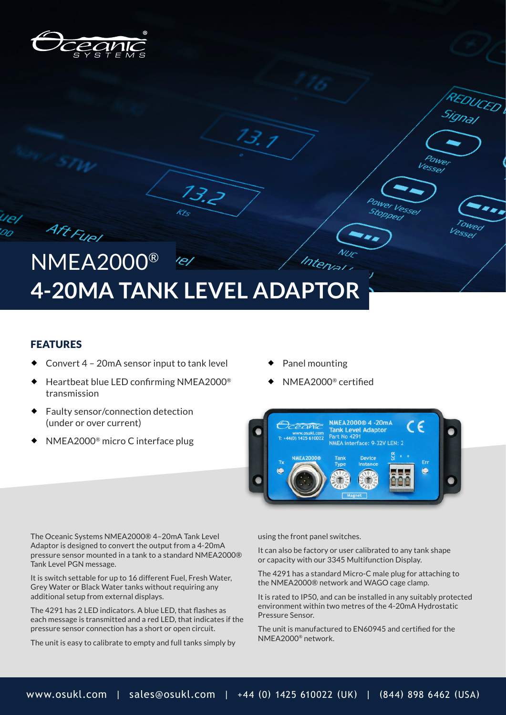

## NMEA2000® Interval **4-20MA TANK LEVEL ADAPTOR**

 $13.2$ 

Kr

#### FEATURES

Aft Fuel

- Convert 4 20mA sensor input to tank level
- Heartbeat blue LED confirming NMEA2000® transmission
- Faulty sensor/connection detection (under or over current)
- NMEA2000® micro C interface plug
- Panel mounting
- NMEA2000® certified



**DUCED** 

owed Vessel

<sup>o</sup>ower Vessel

POWer Vessel Stopped

The Oceanic Systems NMEA2000® 4–20mA Tank Level Adaptor is designed to convert the output from a 4-20mA pressure sensor mounted in a tank to a standard NMEA2000® Tank Level PGN message.

It is switch settable for up to 16 different Fuel, Fresh Water, Grey Water or Black Water tanks without requiring any additional setup from external displays.

The 4291 has 2 LED indicators. A blue LED, that flashes as each message is transmitted and a red LED, that indicates if the pressure sensor connection has a short or open circuit.

The unit is easy to calibrate to empty and full tanks simply by

using the front panel switches.

It can also be factory or user calibrated to any tank shape or capacity with our 3345 Multifunction Display.

The 4291 has a standard Micro-C male plug for attaching to the NMEA2000® network and WAGO cage clamp.

It is rated to IP50, and can be installed in any suitably protected environment within two metres of the 4-20mA Hydrostatic Pressure Sensor.

The unit is manufactured to EN60945 and certified for the NMEA2000® network.